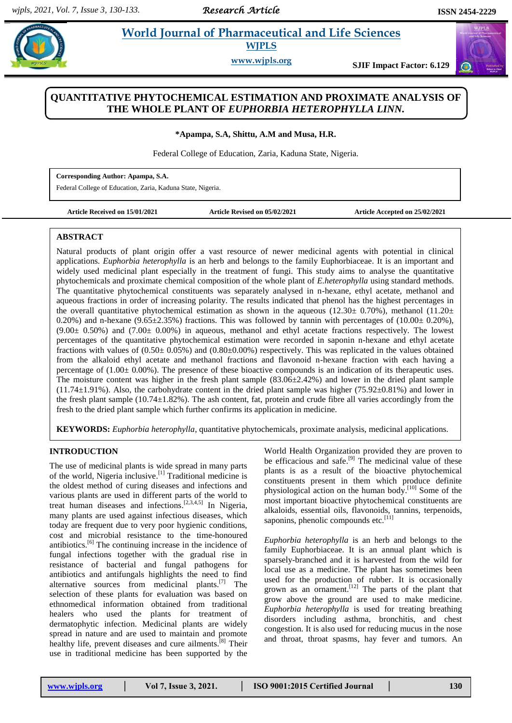*Research Article* 

 $\sigma$ 

# **Paramposit 2.5 Morld Journal of Pharmaceutical and Life Sciences WJPLS**

**www.wjpls.org SJIF Impact Factor: 6.129**

## **QUANTITATIVE PHYTOCHEMICAL ESTIMATION AND PROXIMATE ANALYSIS OF THE WHOLE PLANT OF** *EUPHORBIA HETEROPHYLLA LINN.*

**\*Apampa, S.A, Shittu, A.M and Musa, H.R.**

Federal College of Education, Zaria, Kaduna State, Nigeria.

**Corresponding Author: Apampa, S.A.** Federal College of Education, Zaria, Kaduna State, Nigeria.

**Article Received on 15/01/2021 Article Revised on 05/02/2021 Article Accepted on 25/02/2021**

## **ABSTRACT**

Natural products of plant origin offer a vast resource of newer medicinal agents with potential in clinical applications. *Euphorbia heterophylla* is an herb and belongs to the family Euphorbiaceae. It is an important and widely used medicinal plant especially in the treatment of fungi. This study aims to analyse the quantitative phytochemicals and proximate chemical composition of the whole plant of *E.heterophylla* using standard methods. The quantitative phytochemical constituents was separately analysed in n-hexane, ethyl acetate, methanol and aqueous fractions in order of increasing polarity. The results indicated that phenol has the highest percentages in the overall quantitative phytochemical estimation as shown in the aqueous (12.30± 0.70%), methanol (11.20± 0.20%) and n-hexane (9.65 $\pm$ 2.35%) fractions. This was followed by tannin with percentages of (10.00 $\pm$  0.20%),  $(9.00± 0.50%)$  and  $(7.00± 0.00%)$  in aqueous, methanol and ethyl acetate fractions respectively. The lowest percentages of the quantitative phytochemical estimation were recorded in saponin n-hexane and ethyl acetate fractions with values of  $(0.50\pm 0.05\%)$  and  $(0.80\pm 0.00\%)$  respectively. This was replicated in the values obtained from the alkaloid ethyl acetate and methanol fractions and flavonoid n-hexane fraction with each having a percentage of  $(1.00 \pm 0.00\%)$ . The presence of these bioactive compounds is an indication of its therapeutic uses. The moisture content was higher in the fresh plant sample (83.06±2.42%) and lower in the dried plant sample (11.74±1.91%). Also, the carbohydrate content in the dried plant sample was higher (75.92±0.81%) and lower in the fresh plant sample (10.74±1.82%). The ash content, fat, protein and crude fibre all varies accordingly from the fresh to the dried plant sample which further confirms its application in medicine.

**KEYWORDS:** *Euphorbia heterophylla*, quantitative phytochemicals, proximate analysis, medicinal applications.

## **INTRODUCTION**

The use of medicinal plants is wide spread in many parts of the world, Nigeria inclusive.<sup>[1]</sup> Traditional medicine is the oldest method of curing diseases and infections and various plants are used in different parts of the world to treat human diseases and infections.<sup>[2,3,4,5]</sup> In Nigeria, many plants are used against infectious diseases, which today are frequent due to very poor hygienic conditions, cost and microbial resistance to the time-honoured antibiotics. [6] The continuing increase in the incidence of fungal infections together with the gradual rise in resistance of bacterial and fungal pathogens for antibiotics and antifungals highlights the need to find alternative sources from medicinal plants. [7] The selection of these plants for evaluation was based on ethnomedical information obtained from traditional healers who used the plants for treatment of dermatophytic infection. Medicinal plants are widely spread in nature and are used to maintain and promote healthy life, prevent diseases and cure ailments.<sup>[8]</sup> Their use in traditional medicine has been supported by the

World Health Organization provided they are proven to be efficacious and safe.<sup>[9]</sup> The medicinal value of these plants is as a result of the bioactive phytochemical constituents present in them which produce definite physiological action on the human body.<sup>[10]</sup> Some of the most important bioactive phytochemical constituents are alkaloids, essential oils, flavonoids, tannins, terpenoids, saponins, phenolic compounds etc.<sup>[11]</sup>

*Euphorbia heterophylla* is an herb and belongs to the family Euphorbiaceae. It is an annual plant which is sparsely-branched and it is harvested from the wild for local use as a medicine. The plant has sometimes been used for the production of rubber. It is occasionally grown as an ornament.<sup>[12]</sup> The parts of the plant that grow above the ground are used to make medicine. *Euphorbia heterophylla* is used for treating breathing disorders including asthma, bronchitis, and chest congestion. It is also used for reducing mucus in the nose and throat, throat spasms, hay fever and tumors. An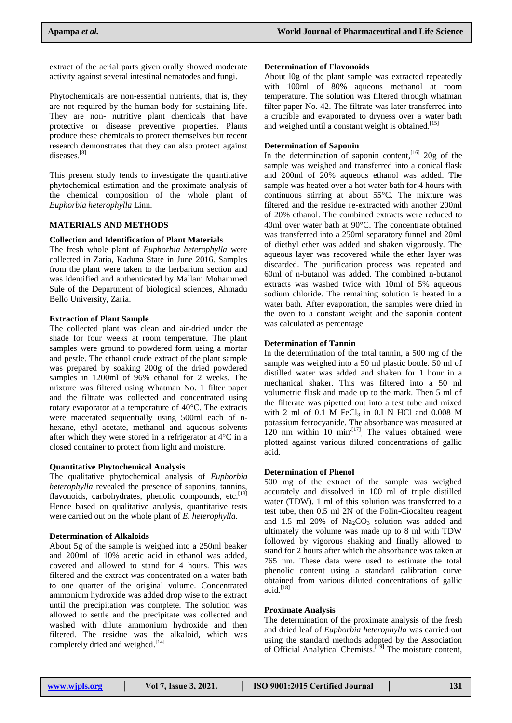extract of the aerial parts given orally showed moderate activity against several intestinal nematodes and fungi.

Phytochemicals are non-essential nutrients, that is, they are not required by the human body for sustaining life. They are non- nutritive plant chemicals that have protective or disease preventive properties. Plants produce these chemicals to protect themselves but recent research demonstrates that they can also protect against diseases.<sup>[8]</sup>

This present study tends to investigate the quantitative phytochemical estimation and the proximate analysis of the chemical composition of the whole plant of *Euphorbia heterophylla* Linn.

## **MATERIALS AND METHODS**

## **Collection and Identification of Plant Materials**

The fresh whole plant of *Euphorbia heterophylla* were collected in Zaria, Kaduna State in June 2016. Samples from the plant were taken to the herbarium section and was identified and authenticated by Mallam Mohammed Sule of the Department of biological sciences, Ahmadu Bello University, Zaria.

## **Extraction of Plant Sample**

The collected plant was clean and air-dried under the shade for four weeks at room temperature. The plant samples were ground to powdered form using a mortar and pestle. The ethanol crude extract of the plant sample was prepared by soaking 200g of the dried powdered samples in 1200ml of 96% ethanol for 2 weeks. The mixture was filtered using Whatman No. 1 filter paper and the filtrate was collected and concentrated using rotary evaporator at a temperature of 40°C. The extracts were macerated sequentially using 500ml each of nhexane, ethyl acetate, methanol and aqueous solvents after which they were stored in a refrigerator at 4°C in a closed container to protect from light and moisture.

### **Quantitative Phytochemical Analysis**

The qualitative phytochemical analysis of *Euphorbia heterophylla* revealed the presence of saponins, tannins, flavonoids, carbohydrates, phenolic compounds, etc.<sup>[13]</sup> Hence based on qualitative analysis, quantitative tests were carried out on the whole plant of *E. heterophylla*.

## **Determination of Alkaloids**

About 5g of the sample is weighed into a 250ml beaker and 200ml of 10% acetic acid in ethanol was added, covered and allowed to stand for 4 hours. This was filtered and the extract was concentrated on a water bath to one quarter of the original volume. Concentrated ammonium hydroxide was added drop wise to the extract until the precipitation was complete. The solution was allowed to settle and the precipitate was collected and washed with dilute ammonium hydroxide and then filtered. The residue was the alkaloid, which was completely dried and weighed.<sup>[14]</sup>

#### **Determination of Flavonoids**

About l0g of the plant sample was extracted repeatedly with 100ml of 80% aqueous methanol at room temperature. The solution was filtered through whatman filter paper No. 42. The filtrate was later transferred into a crucible and evaporated to dryness over a water bath and weighed until a constant weight is obtained.<sup>[15]</sup>

## **Determination of Saponin**

In the determination of saponin content,  $[16]$  20g of the sample was weighed and transferred into a conical flask and 200ml of 20% aqueous ethanol was added. The sample was heated over a hot water bath for 4 hours with continuous stirring at about 55°C. The mixture was filtered and the residue re-extracted with another 200ml of 20% ethanol. The combined extracts were reduced to 40ml over water bath at 90°C. The concentrate obtained was transferred into a 250ml separatory funnel and 20ml of diethyl ether was added and shaken vigorously. The aqueous layer was recovered while the ether layer was discarded. The purification process was repeated and 60ml of n-butanol was added. The combined n-butanol extracts was washed twice with 10ml of 5% aqueous sodium chloride. The remaining solution is heated in a water bath. After evaporation, the samples were dried in the oven to a constant weight and the saponin content was calculated as percentage.

## **Determination of Tannin**

In the determination of the total tannin, a 500 mg of the sample was weighed into a 50 ml plastic bottle. 50 ml of distilled water was added and shaken for 1 hour in a mechanical shaker. This was filtered into a 50 ml volumetric flask and made up to the mark. Then 5 ml of the filterate was pipetted out into a test tube and mixed with 2 ml of 0.1 M FeCl<sub>3</sub> in 0.I N HCl and 0.008 M potassium ferrocyanide. The absorbance was measured at 120 nm within 10  $\min$ <sup>[17]</sup>. The values obtained were plotted against various diluted concentrations of gallic acid.

## **Determination of Phenol**

500 mg of the extract of the sample was weighed accurately and dissolved in 100 ml of triple distilled water (TDW). 1 ml of this solution was transferred to a test tube, then 0.5 ml 2N of the Folin-Ciocalteu reagent and 1.5 ml 20% of  $Na<sub>2</sub>CO<sub>3</sub>$  solution was added and ultimately the volume was made up to 8 ml with TDW followed by vigorous shaking and finally allowed to stand for 2 hours after which the absorbance was taken at 765 nm. These data were used to estimate the total phenolic content using a standard calibration curve obtained from various diluted concentrations of gallic acid. [18]

### **Proximate Analysis**

The determination of the proximate analysis of the fresh and dried leaf of *Euphorbia heterophylla* was carried out using the standard methods adopted by the Association of Official Analytical Chemists.<sup>[19]</sup> The moisture content,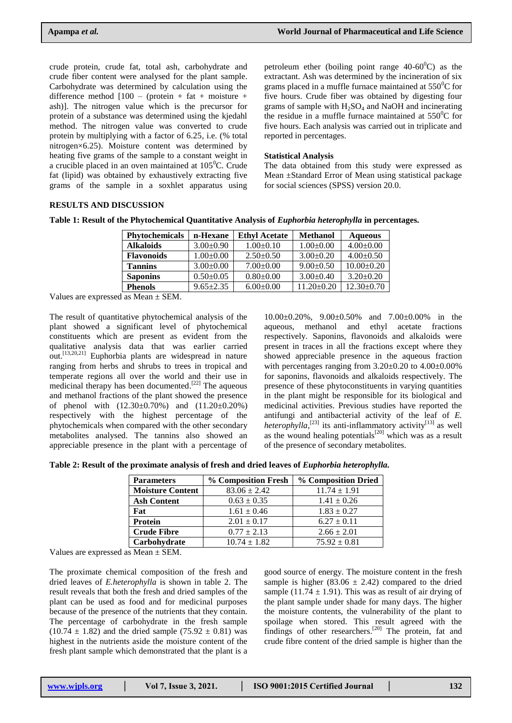crude protein, crude fat, total ash, carbohydrate and crude fiber content were analysed for the plant sample. Carbohydrate was determined by calculation using the difference method  $[100 - (protein + fat + moisture +$ ash)]. The nitrogen value which is the precursor for protein of a substance was determined using the kjedahl method. The nitrogen value was converted to crude protein by multiplying with a factor of 6.25, i.e. (% total nitrogen×6.25). Moisture content was determined by heating five grams of the sample to a constant weight in a crucible placed in an oven maintained at  $105^{\circ}$ C. Crude fat (lipid) was obtained by exhaustively extracting five grams of the sample in a soxhlet apparatus using

petroleum ether (boiling point range  $40-60^{\circ}$ C) as the extractant. Ash was determined by the incineration of six grams placed in a muffle furnace maintained at  $550^{\circ}$ C for five hours. Crude fiber was obtained by digesting four grams of sample with  $H_2SO_4$  and NaOH and incinerating the residue in a muffle furnace maintained at  $550^{\circ}$ C for five hours. Each analysis was carried out in triplicate and reported in percentages.

## **Statistical Analysis**

The data obtained from this study were expressed as Mean ±Standard Error of Mean using statistical package for social sciences (SPSS) version 20.0.

## **RESULTS AND DISCUSSION**

| Table 1: Result of the Phytochemical Quantitative Analysis of <i>Euphorbia heterophylla</i> in percentages. |  |  |  |  |
|-------------------------------------------------------------------------------------------------------------|--|--|--|--|
|-------------------------------------------------------------------------------------------------------------|--|--|--|--|

| <b>Phytochemicals</b>     | n-Hexane        | <b>Ethyl Acetate</b> | <b>Methanol</b>  | <b>Aqueous</b>   |
|---------------------------|-----------------|----------------------|------------------|------------------|
| <b>Alkaloids</b>          | $3.00+0.90$     | $1.00 \pm 0.10$      | $1.00 \pm 0.00$  | $4.00 \pm 0.00$  |
| <b>Flavonoids</b>         | $1.00+0.00$     | $2.50+0.50$          | $3.00 \pm 0.20$  | $4.00+0.50$      |
| <b>Tannins</b>            | $3.00+0.00$     | $7.00 \pm 0.00$      | $9.00 \pm 0.50$  | $10.00+0.20$     |
| <b>Saponins</b>           | $0.50 \pm 0.05$ | $0.80+0.00$          | $3.00+0.40$      | $3.20+0.20$      |
| <b>Phenols</b>            | $9.65 \pm 2.35$ | $6.00 \pm 0.00$      | $11.20 \pm 0.20$ | $12.30 \pm 0.70$ |
| $\mathbf{v}$ $\mathbf{v}$ |                 |                      |                  |                  |

Values are expressed as Mean ± SEM.

The result of quantitative phytochemical analysis of the plant showed a significant level of phytochemical constituents which are present as evident from the qualitative analysis data that was earlier carried out.<sup>[13,20,21]</sup> Euphorbia plants are widespread in nature ranging from herbs and shrubs to trees in tropical and temperate regions all over the world and their use in medicinal therapy has been documented.<sup>[22]</sup> The aqueous and methanol fractions of the plant showed the presence of phenol with (12.30±0.70%) and (11.20±0.20%) respectively with the highest percentage of the phytochemicals when compared with the other secondary metabolites analysed. The tannins also showed an appreciable presence in the plant with a percentage of

10.00±0.20%, 9.00±0.50% and 7.00±0.00% in the aqueous, methanol and ethyl acetate fractions respectively. Saponins, flavonoids and alkaloids were present in traces in all the fractions except where they showed appreciable presence in the aqueous fraction with percentages ranging from  $3.20\pm0.20$  to  $4.00\pm0.00\%$ for saponins, flavonoids and alkaloids respectively. The presence of these phytoconstituents in varying quantities in the plant might be responsible for its biological and medicinal activities. Previous studies have reported the antifungi and antibacterial activity of the leaf of *E. heterophylla*,<sup>[23]</sup> its anti-inflammatory activity<sup>[13]</sup> as well as the wound healing potentials $[20]$  which was as a result of the presence of secondary metabolites.

**Table 2: Result of the proximate analysis of fresh and dried leaves of** *Euphorbia heterophylla.*

| <b>Parameters</b>       | % Composition Fresh | % Composition Dried |  |
|-------------------------|---------------------|---------------------|--|
| <b>Moisture Content</b> | $83.06 \pm 2.42$    | $11.74 \pm 1.91$    |  |
| <b>Ash Content</b>      | $0.63 \pm 0.35$     | $1.41 \pm 0.26$     |  |
| Fat                     | $1.61 \pm 0.46$     | $1.83 \pm 0.27$     |  |
| <b>Protein</b>          | $2.01 \pm 0.17$     | $6.27 \pm 0.11$     |  |
| <b>Crude Fibre</b>      | $0.77 \pm 2.13$     | $2.66 \pm 2.01$     |  |
| Carbohydrate            | $10.74 \pm 1.82$    | $75.92 \pm 0.81$    |  |

Values are expressed as Mean ± SEM.

The proximate chemical composition of the fresh and dried leaves of *E.heterophylla* is shown in table 2. The result reveals that both the fresh and dried samples of the plant can be used as food and for medicinal purposes because of the presence of the nutrients that they contain. The percentage of carbohydrate in the fresh sample  $(10.74 \pm 1.82)$  and the dried sample  $(75.92 \pm 0.81)$  was highest in the nutrients aside the moisture content of the fresh plant sample which demonstrated that the plant is a

good source of energy. The moisture content in the fresh sample is higher (83.06  $\pm$  2.42) compared to the dried sample (11.74  $\pm$  1.91). This was as result of air drying of the plant sample under shade for many days. The higher the moisture contents, the vulnerability of the plant to spoilage when stored. This result agreed with the findings of other researchers.<sup>[20]</sup> The protein, fat and crude fibre content of the dried sample is higher than the